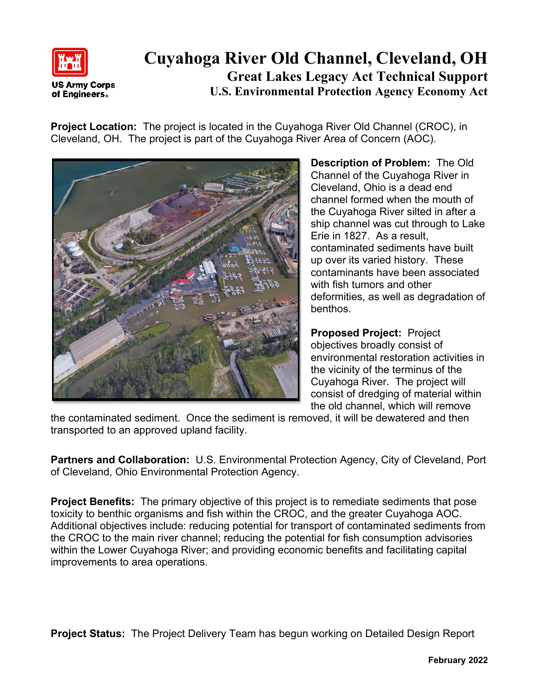

## **Cuyahoga River Old Channel, Cleveland, OH Great Lakes Legacy Act Technical Support U.S. Environmental Protection Agency Economy Act**

**Project Location:** The project is located in the Cuyahoga River Old Channel (CROC), in Cleveland, OH. The project is part of the Cuyahoga River Area of Concern (AOC).



**Description of Problem:** The Old Channel of the Cuyahoga River in Cleveland, Ohio is a dead end channel formed when the mouth of the Cuyahoga River silted in after a ship channel was cut through to Lake Erie in 1827. As a result, contaminated sediments have built up over its varied history. These contaminants have been associated with fish tumors and other deformities, as well as degradation of benthos.

**Proposed Project:** Project objectives broadly consist of environmental restoration activities in the vicinity of the terminus of the Cuyahoga River. The project will consist of dredging of material within the old channel, which will remove

the contaminated sediment. Once the sediment is removed, it will be dewatered and then transported to an approved upland facility.

**Partners and Collaboration:** U.S. Environmental Protection Agency, City of Cleveland, Port of Cleveland, Ohio Environmental Protection Agency.

**Project Benefits:** The primary objective of this project is to remediate sediments that pose toxicity to benthic organisms and fish within the CROC, and the greater Cuyahoga AOC. Additional objectives include: reducing potential for transport of contaminated sediments from the CROC to the main river channel; reducing the potential for fish consumption advisories within the Lower Cuyahoga River; and providing economic benefits and facilitating capital improvements to area operations.

**Project Status:** The Project Delivery Team has begun working on Detailed Design Report